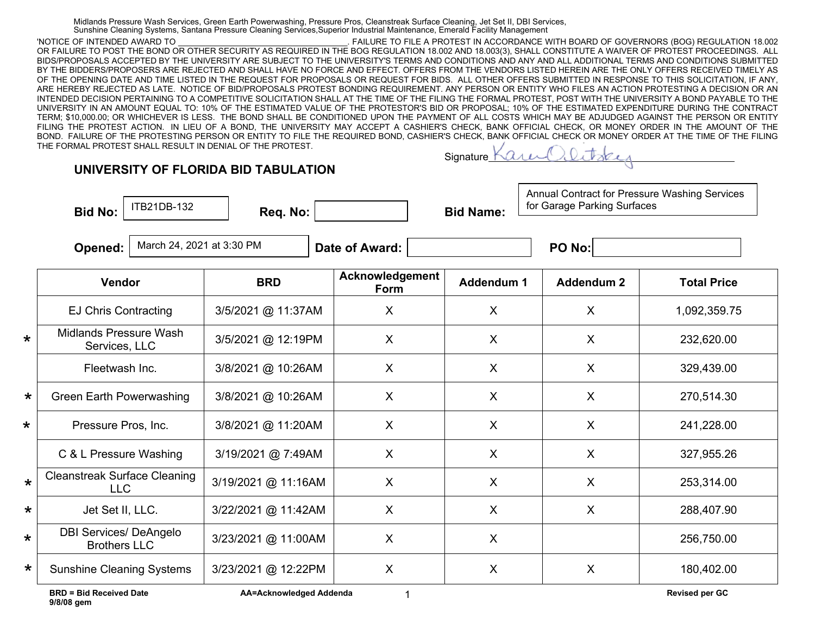Midlands Pressure Wash Services, Green Earth Powerwashing, Pressure Pros, Cleanstreak Surface Cleaning, Jet Set II, DBI Services, Sunshine Cleaning Systems, Santana Pressure Cleaning Services,Superior Industrial Maintenance, Emerald Facility Management

'NOTICE OF INTENDED AWARD TO \_\_\_\_\_\_\_\_\_\_\_\_\_\_\_\_\_\_\_\_\_\_\_\_\_\_\_\_\_\_\_\_\_\_\_\_\_. FAILURE TO FILE A PROTEST IN ACCORDANCE WITH BOARD OF GOVERNORS (BOG) REGULATION 18.002 OR FAILURE TO POST THE BOND OR OTHER SECURITY AS REQUIRED IN THE BOG REGULATION 18.002 AND 18.003(3), SHALL CONSTITUTE A WAIVER OF PROTEST PROCEEDINGS. ALL BIDS/PROPOSALS ACCEPTED BY THE UNIVERSITY ARE SUBJECT TO THE UNIVERSITY'S TERMS AND CONDITIONS AND ANY AND ALL ADDITIONAL TERMS AND CONDITIONS SUBMITTED BY THE BIDDERS/PROPOSERS ARE REJECTED AND SHALL HAVE NO FORCE AND EFFECT. OFFERS FROM THE VENDORS LISTED HEREIN ARE THE ONLY OFFERS RECEIVED TIMELY AS OF THE OPENING DATE AND TIME LISTED IN THE REQUEST FOR PROPOSALS OR REQUEST FOR BIDS. ALL OTHER OFFERS SUBMITTED IN RESPONSE TO THIS SOLICITATION, IF ANY, ARE HEREBY REJECTED AS LATE. NOTICE OF BID/PROPOSALS PROTEST BONDING REQUIREMENT. ANY PERSON OR ENTITY WHO FILES AN ACTION PROTESTING A DECISION OR AN INTENDED DECISION PERTAINING TO A COMPETITIVE SOLICITATION SHALL AT THE TIME OF THE FILING THE FORMAL PROTEST, POST WITH THE UNIVERSITY A BOND PAYABLE TO THE UNIVERSITY IN AN AMOUNT EQUAL TO: 10% OF THE ESTIMATED VALUE OF THE PROTESTOR'S BID OR PROPOSAL; 10% OF THE ESTIMATED EXPENDITURE DURING THE CONTRACT TERM; \$10,000.00; OR WHICHEVER IS LESS. THE BOND SHALL BE CONDITIONED UPON THE PAYMENT OF ALL COSTS WHICH MAY BE ADJUDGED AGAINST THE PERSON OR ENTITY FILING THE PROTEST ACTION. IN LIEU OF A BOND, THE UNIVERSITY MAY ACCEPT A CASHIER'S CHECK, BANK OFFICIAL CHECK, OR MONEY ORDER IN THE AMOUNT OF THE BOND. FAILURE OF THE PROTESTING PERSON OR ENTITY TO FILE THE REQUIRED BOND, CASHIER'S CHECK, BANK OFFICIAL CHECK OR MONEY ORDER AT THE TIME OF THE FILING THE FORMAL PROTEST SHALL RESULT IN DENIAL OF THE PROTEST.

## **UNIVERSITY OF FLORIDA BID TABULATION**

Bid No: **Bid No: Req. No: Bid Name:** 

**Signature** 

Annual Contract for Pressure Washing Services for Garage Parking Surfaces

**Opened:** | March 24, 2021 at 3:30 PM  $\qquad$  | **Date of Award:** |  $\qquad \qquad$  | **PO No:** 

ITB21DB-132

|         | <b>Vendor</b>                                        | <b>BRD</b>          | Acknowledgement<br>Form | Addendum 1 | <b>Addendum 2</b> | <b>Total Price</b> |
|---------|------------------------------------------------------|---------------------|-------------------------|------------|-------------------|--------------------|
|         | <b>EJ Chris Contracting</b>                          | 3/5/2021 @ 11:37AM  | X                       | X          | X                 | 1,092,359.75       |
| $\star$ | Midlands Pressure Wash<br>Services, LLC              | 3/5/2021 @ 12:19PM  | X                       | X          | X                 | 232,620.00         |
|         | Fleetwash Inc.                                       | 3/8/2021 @ 10:26AM  | X                       | $\sf X$    | $\sf X$           | 329,439.00         |
| $\star$ | <b>Green Earth Powerwashing</b>                      | 3/8/2021 @ 10:26AM  | X                       | $\sf X$    | X                 | 270,514.30         |
| $\star$ | Pressure Pros, Inc.                                  | 3/8/2021 @ 11:20AM  | X                       | $\sf X$    | $\sf X$           | 241,228.00         |
|         | C & L Pressure Washing                               | 3/19/2021 @ 7:49AM  | X                       | $\sf X$    | $\mathsf{X}$      | 327,955.26         |
| $\star$ | <b>Cleanstreak Surface Cleaning</b><br>LLC           | 3/19/2021 @ 11:16AM | X                       | $\sf X$    | $\sf X$           | 253,314.00         |
| $\star$ | Jet Set II, LLC.                                     | 3/22/2021 @ 11:42AM | $\sf X$                 | $\sf X$    | $\sf X$           | 288,407.90         |
| $\star$ | <b>DBI Services/ DeAngelo</b><br><b>Brothers LLC</b> | 3/23/2021 @ 11:00AM | X                       | X          |                   | 256,750.00         |
| $\star$ | <b>Sunshine Cleaning Systems</b>                     | 3/23/2021 @ 12:22PM | X                       | X          | X                 | 180,402.00         |